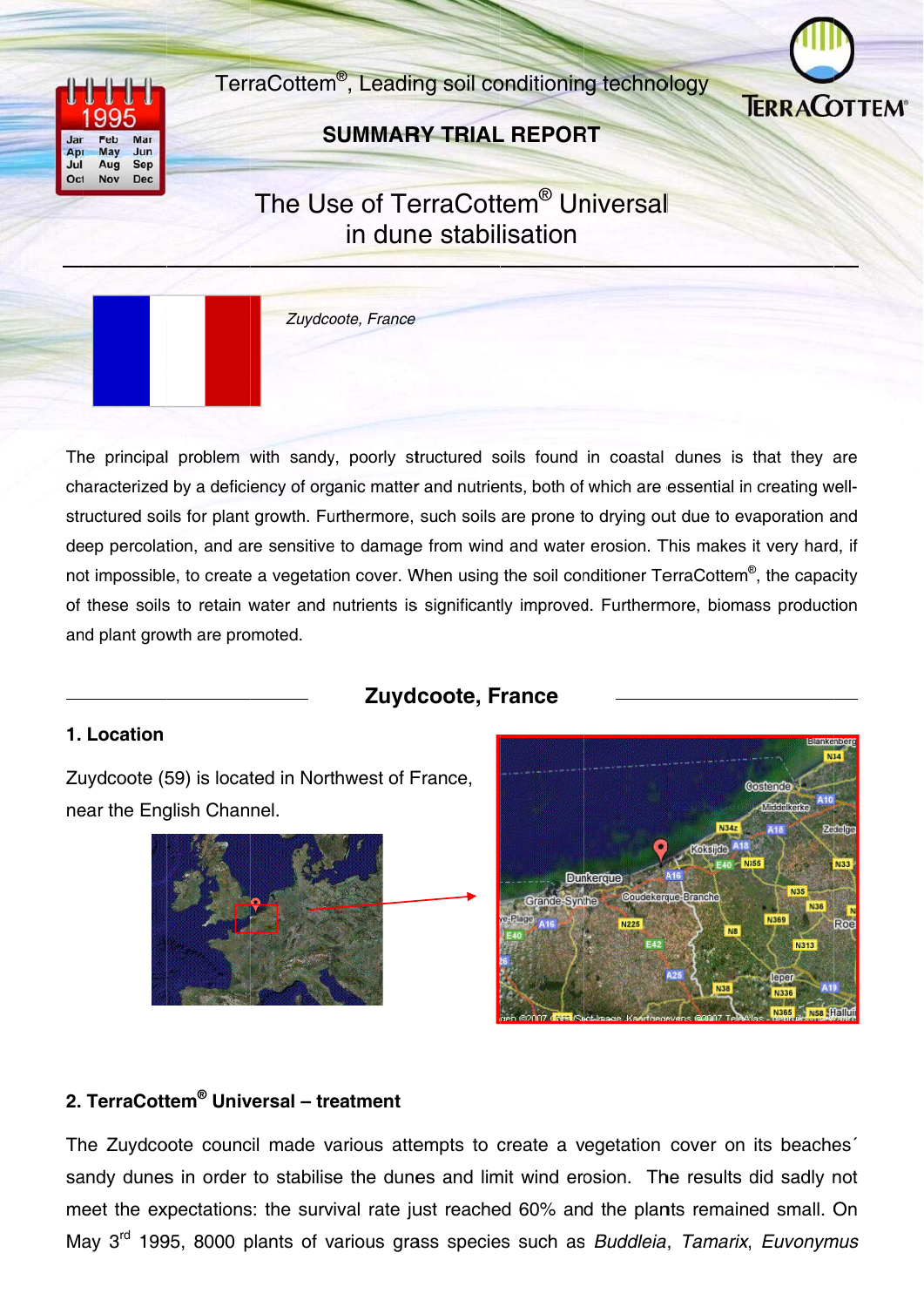TerraCottem<sup>®</sup>, Leading soil conditioning technology





## **SUMMARY TRIAL REPORT**

# The Use of TerraCottem<sup>®</sup> Universal in dune stabilisation



The principal problem with sandy, poorly structured soils found in coastal dunes is that they are characterized by a deficiency of organic matter and nutrients, both of which are essential in creating wellstructured soils for plant growth. Furthermore, such soils are prone to drying out due to evaporation and deep percolation, and are sensitive to damage from wind and water erosion. This makes it very hard, if not impossible, to create a vegetation cover. When using the soil conditioner TerraCottem<sup>®</sup>, the capacity of these soils to retain water and nutrients is significantly improved. Furthermore, biomass production and plant growth are promoted.

## **Zuydcoote, France**

#### 1. Location

Zuydcoote (59) is located in Northwest of France, near the English Channel.





#### 2. TerraCottem<sup>®</sup> Universal - treatment

The Zuydcoote council made various attempts to create a vegetation cover on its beaches sandy dunes in order to stabilise the dunes and limit wind erosion. The results did sadly not meet the expectations: the survival rate just reached 60% and the plants remained small. On May 3<sup>rd</sup> 1995, 8000 plants of various grass species such as Buddleia, Tamarix, Euvonymus